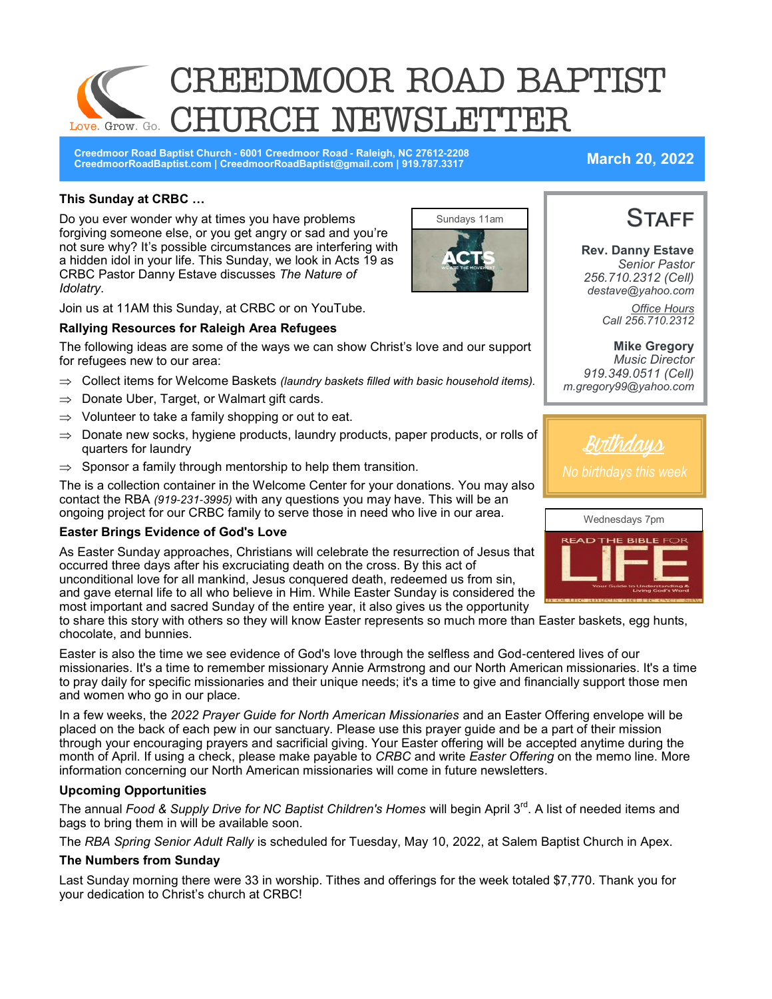# CREEDMOOR ROAD BAPTIST CH NEWSLETTE Love. Grow. Go.

**Creedmoor Road Baptist Church - 6001 Creedmoor Road - Raleigh, NC 27612-2208 CreedmoorRoadBaptist.com | CreedmoorRoadBaptist@gmail.com | 919.787.3317 March 20, 2022**

#### **This Sunday at CRBC …**

Do you ever wonder why at times you have problems forgiving someone else, or you get angry or sad and you're not sure why? It's possible circumstances are interfering with a hidden idol in your life. This Sunday, we look in Acts 19 as CRBC Pastor Danny Estave discusses *The Nature of Idolatry*.



Join us at 11AM this Sunday, at CRBC or on YouTube.

#### **Rallying Resources for Raleigh Area Refugees**

The following ideas are some of the ways we can show Christ's love and our support for refugees new to our area:

- $\Rightarrow$  Collect items for Welcome Baskets *(laundry baskets filled with basic household items).*
- $\Rightarrow$  Donate Uber, Target, or Walmart gift cards.
- $\Rightarrow$  Volunteer to take a family shopping or out to eat.
- $\Rightarrow$  Donate new socks, hygiene products, laundry products, paper products, or rolls of quarters for laundry
- $\Rightarrow$  Sponsor a family through mentorship to help them transition.

The is a collection container in the Welcome Center for your donations. You may also contact the RBA *(919-231-3995)* with any questions you may have. This will be an ongoing project for our CRBC family to serve those in need who live in our area.

#### **Easter Brings Evidence of God's Love**

As Easter Sunday approaches, Christians will celebrate the resurrection of Jesus that occurred three days after his excruciating death on the cross. By this act of unconditional love for all mankind, Jesus conquered death, redeemed us from sin, and gave eternal life to all who believe in Him. While Easter Sunday is considered the most important and sacred Sunday of the entire year, it also gives us the opportunity

to share this story with others so they will know Easter represents so much more than Easter baskets, egg hunts, chocolate, and bunnies.

Easter is also the time we see evidence of God's love through the selfless and God-centered lives of our missionaries. It's a time to remember missionary Annie Armstrong and our North American missionaries. It's a time to pray daily for specific missionaries and their unique needs; it's a time to give and financially support those men and women who go in our place.

In a few weeks, the *2022 Prayer Guide for North American Missionaries* and an Easter Offering envelope will be placed on the back of each pew in our sanctuary. Please use this prayer guide and be a part of their mission through your encouraging prayers and sacrificial giving. Your Easter offering will be accepted anytime during the month of April. If using a check, please make payable to *CRBC* and write *Easter Offering* on the memo line. More information concerning our North American missionaries will come in future newsletters.

#### **Upcoming Opportunities**

The annual *Food & Supply Drive for NC Baptist Children's Homes will begin April 3<sup>rd</sup>. A list of needed items and* bags to bring them in will be available soon.

The *RBA Spring Senior Adult Rally* is scheduled for Tuesday, May 10, 2022, at Salem Baptist Church in Apex.

#### **The Numbers from Sunday**

Last Sunday morning there were 33 in worship. Tithes and offerings for the week totaled \$7,770. Thank you for your dedication to Christ's church at CRBC!



**Rev. Danny Estave** *Senior Pastor 256.710.2312 (Cell) destave@yahoo.com Office Hours Call 256.710.2312* 

**Mike Gregory** *Music Director 919.349.0511 (Cell) m.gregory99@yahoo.com*